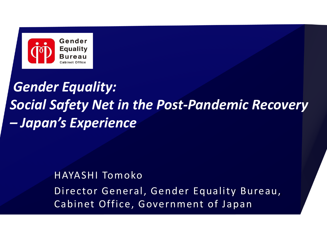

# *Gender Equality: Social Safety Net in the Post-Pandemic Recovery – Japan's Experience*

# HAYASHI Tomoko Director General, Gender Equality Bureau, Cabinet Office, Government of Japan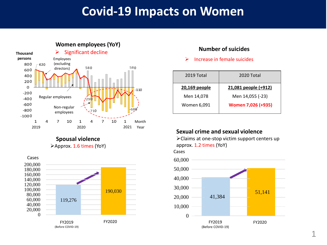## **Covid-19 Impacts on Women**



**Spousal violence** ➢Approx. 1.6 times (YoY)



#### **Number of suicides**

 $\triangleright$  Increase in female suicides

| 2019 Total    | 2020 Total           |
|---------------|----------------------|
| 20,169 people | 21,081 people (+912) |
| Men 14,078    | Men 14,055 (-23)     |
| Women 6,091   | Women 7,026 (+935)   |

#### **Sexual crime and sexual violence**

➢Claims at one-stop victim support centers up approx. 1.2 times (YoY)

Cases

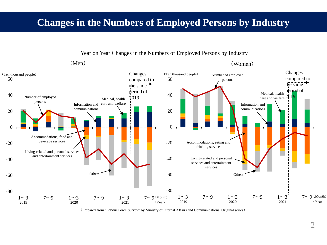## **Changes in the Numbers of Employed Persons by Industry**



Year on Year Changes in the Numbers of Employed Persons by Industry

(Prepared from "Labour Force Survey" by Ministry of Internal Affairs and Communications. Original series)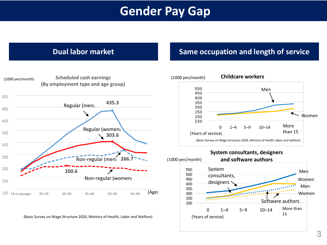# **Gender Pay Gap**



(Basic Survey on Wage Structure 2020, Ministry of Health, Labor and Welfare)

#### **Dual labor market Same occupation and length of service**



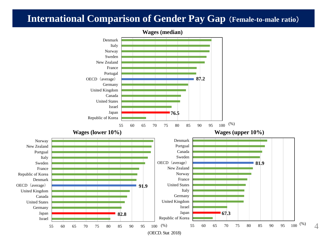### **International Comparison of Gender Pay Gap** (**Female-to-male ratio**)



4